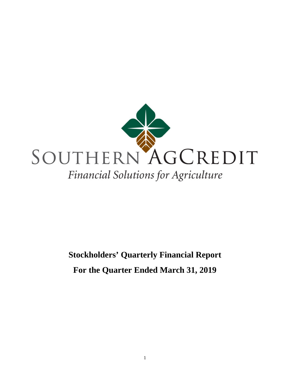

# **Stockholders' Quarterly Financial Report For the Quarter Ended March 31, 2019**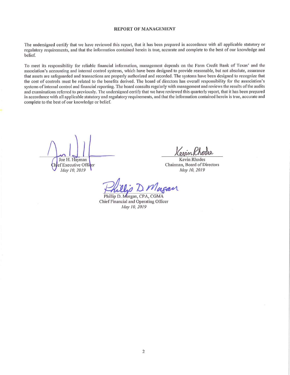#### **REPORT OF MANAGEMENT**

The undersigned certify that we have reviewed this report, that it has been prepared in accordance with all applicable statutory or regulatory requirements, and that the information contained herein is true, accurate and complete to the best of our knowledge and belief.

To meet its responsibility for reliable financial information, management depends on the Farm Credit Bank of Texas' and the association's accounting and internal control systems, which have been designed to provide reasonable, but not absolute, assurance that assets are safeguarded and transactions are properly authorized and recorded. The systems have been designed to recognize that the cost of controls must be related to the benefits derived. The board of directors has overall responsibility for the association's systems of internal control and financial reporting. The board consults regularly with management and reviews the results of the audits and examinations referred to previously. The undersigned certify that we have reviewed this quarterly report, that it has been prepared in accordance with all applicable statutory and regulatory requirements, and that the information contained herein is true, accurate and complete to the best of our knowledge or belief.

Joe H. Hayman ef Executive Officer May 10, 2019

**Kevin Rhodes** Chairman, Board of Directors May 10, 2019

Vlagan

Phillip D. Morgan, CPA, CGMA Chief Financial and Operating Officer May 10, 2019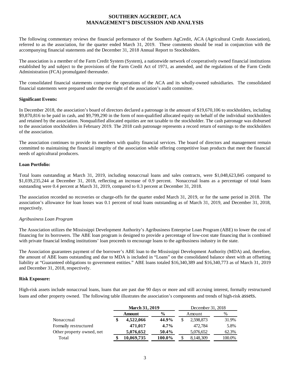## **SOUTHERN AGCREDIT, ACA MANAGEMENT'S DISCUSSION AND ANALYSIS**

The following commentary reviews the financial performance of the Southern AgCredit, ACA (Agricultural Credit Association), referred to as the association, for the quarter ended March 31, 2019. These comments should be read in conjunction with the accompanying financial statements and the December 31, 2018 Annual Report to Stockholders.

The association is a member of the Farm Credit System (System), a nationwide network of cooperatively owned financial institutions established by and subject to the provisions of the Farm Credit Act of 1971, as amended, and the regulations of the Farm Credit Administration (FCA) promulgated thereunder.

The consolidated financial statements comprise the operations of the ACA and its wholly-owned subsidiaries. The consolidated financial statements were prepared under the oversight of the association's audit committee.

## **Significant Events:**

In December 2018, the association's board of directors declared a patronage in the amount of \$19,670,106 to stockholders, including \$9,870,816 to be paid in cash, and \$9,799,290 in the form of non-qualified allocated equity on behalf of the individual stockholders and retained by the association. Nonqualified allocated equities are not taxable to the stockholder. The cash patronage was disbursed to the association stockholders in February 2019. The 2018 cash patronage represents a record return of earnings to the stockholders of the association.

The association continues to provide its members with quality financial services. The board of directors and management remain committed to maintaining the financial integrity of the association while offering competitive loan products that meet the financial needs of agricultural producers.

## **Loan Portfolio:**

Total loans outstanding at March 31, 2019, including nonaccrual loans and sales contracts, were \$1,048,623,845 compared to \$1,039,235,244 at December 31, 2018, reflecting an increase of 0.9 percent. Nonaccrual loans as a percentage of total loans outstanding were 0.4 percent at March 31, 2019, compared to 0.3 percent at December 31, 2018.

The association recorded no recoveries or charge-offs for the quarter ended March 31, 2019, or for the same period in 2018. The association's allowance for loan losses was 0.1 percent of total loans outstanding as of March 31, 2019, and December 31, 2018, respectively.

## *Agribusiness Loan Program*

The Association utilizes the Mississippi Development Authority's Agribusiness Enterprise Loan Program (ABE) to lower the cost of financing for its borrowers. The ABE loan program is designed to provide a percentage of low-cost state financing that is combined with private financial lending institutions' loan proceeds to encourage loans to the agribusiness industry in the state.

The Association guarantees payment of the borrower's ABE loan to the Mississippi Development Authority (MDA) and, therefore, the amount of ABE loans outstanding and due to MDA is included in "Loans" on the consolidated balance sheet with an offsetting liability at "Guaranteed obligations to government entities." ABE loans totaled \$16,340,389 and \$16,340,773 as of March 31, 2019 and December 31, 2018, respectively.

#### **Risk Exposure:**

High-risk assets include nonaccrual loans, loans that are past due 90 days or more and still accruing interest, formally restructured loans and other property owned. The following table illustrates the association's components and trends of high-risk assets.

|                           |    | <b>March 31, 2019</b> |               |    | December 31, 2018 |        |  |  |
|---------------------------|----|-----------------------|---------------|----|-------------------|--------|--|--|
|                           |    | Amount                | $\frac{0}{0}$ |    | Amount            | %      |  |  |
| Nonaccrual                | \$ | 4,522,066             | 44.9%         | \$ | 2,598,873         | 31.9%  |  |  |
| Formally restructured     |    | 471,017               | $4.7\%$       |    | 472.784           | 5.8%   |  |  |
| Other property owned, net |    | 5,076,652             | 50.4%         |    | 5,076,652         | 62.3%  |  |  |
| Total                     |    | 10,069,735            | 100.0%        |    | 8,148,309         | 100.0% |  |  |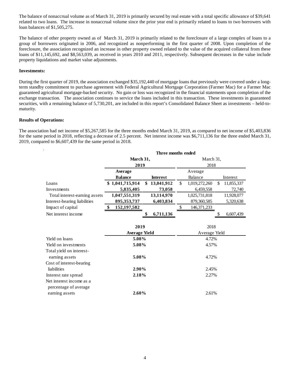The balance of nonaccrual volume as of March 31, 2019 is primarily secured by real estate with a total specific allowance of \$39,641 related to two loans. The increase in nonaccrual volume since the prior year end is primarily related to loans to two borrowers with loan balances of \$1,505,275.

The balance of other property owned as of March 31, 2019 is primarily related to the foreclosure of a large complex of loans to a group of borrowers originated in 2006, and recognized as nonperforming in the first quarter of 2008. Upon completion of the foreclosure, the association recognized an increase in other property owned related to the value of the acquired collateral from these loans of \$11,145,692, and \$8,563,039, as received in years 2010 and 2011, respectively. Subsequent decreases in the value include property liquidations and market value adjustments.

#### **Investments:**

During the first quarter of 2019, the association exchanged \$35,192,440 of mortgage loans that previously were covered under a longterm standby commitment to purchase agreement with Federal Agricultural Mortgage Corporation (Farmer Mac) for a Farmer Mac guaranteed agricultural mortgage-backed security. No gain or loss was recognized in the financial statements upon completion of the exchange transaction. The association continues to service the loans included in this transaction. These investments in guaranteed securities, with a remaining balance of 5,730,201, are included in this report's Consolidated Balance Sheet as investments – held-tomaturity.

## **Results of Operations:**

The association had net income of \$5,267,585 for the three months ended March 31, 2019, as compared to net income of \$5,403,836 for the same period in 2018, reflecting a decrease of 2.5 percent. Net interest income was \$6,711,136 for the three ended March 31, 2019, compared to \$6,607,439 for the same period in 2018.

|                               | Three months ended   |    |                 |               |               |    |            |  |
|-------------------------------|----------------------|----|-----------------|---------------|---------------|----|------------|--|
|                               | March 31,            |    |                 | March 31,     |               |    |            |  |
|                               | 2019                 |    |                 | 2018          |               |    |            |  |
|                               | Average              |    |                 |               | Average       |    |            |  |
|                               | <b>Balance</b>       |    | <b>Interest</b> |               | Balance       |    | Interest   |  |
| Loans                         | \$1,041,715,914      | \$ | 13,041,912      | \$            | 1,019,272,260 | \$ | 11,855,337 |  |
| Investments                   | 5,835,405            |    | 73,058          |               | 6,459,558     |    | 72,740     |  |
| Total interest-earning assets | 1,047,551,319        |    | 13,114,970      |               | 1,025,731,818 |    | 11,928,077 |  |
| Interest-bearing liabilities  | 895, 353, 737        |    | 6,403,834       |               | 879,360,585   |    | 5,320,638  |  |
| Impact of capital             | 152, 197, 582<br>\$  |    |                 | \$            | 146, 371, 233 |    |            |  |
| Net interest income           |                      |    | 6,711,136       |               |               | S  | 6,607,439  |  |
|                               |                      |    |                 |               |               |    |            |  |
|                               | 2019                 |    |                 |               | 2018          |    |            |  |
|                               | <b>Average Yield</b> |    |                 | Average Yield |               |    |            |  |
| Yield on loans                | 5.08%                |    |                 | 4.72%         |               |    |            |  |
| Yield on investments          | 5.08%                |    |                 | 4.57%         |               |    |            |  |
| Total yield on interest-      |                      |    |                 |               |               |    |            |  |
| earning assets                | 5.08%                |    |                 |               | 4.72%         |    |            |  |
| Cost of interest-bearing      |                      |    |                 |               |               |    |            |  |
| liabilities                   | 2.90%                |    |                 |               | 2.45%         |    |            |  |
| Interest rate spread          | 2.18%                |    |                 | 2.27%         |               |    |            |  |
| Net interest income as a      |                      |    |                 |               |               |    |            |  |
| percentage of average         |                      |    |                 |               |               |    |            |  |
| earning assets                | 2.60%                |    |                 |               | 2.61%         |    |            |  |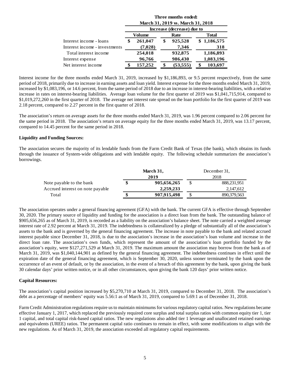|                               | Three months ended:<br>March 31, 2019 vs. March 31, 2018 |         |    |                            |              |             |  |  |
|-------------------------------|----------------------------------------------------------|---------|----|----------------------------|--------------|-------------|--|--|
|                               |                                                          |         |    | Increase (decrease) due to |              |             |  |  |
|                               |                                                          | Volume  |    | Rate                       | <b>Total</b> |             |  |  |
| Interest income - loans       | \$                                                       | 261,047 | \$ | 925,528                    |              | \$1,186,575 |  |  |
| Interest income - investments |                                                          | (7,028) |    | 7,346                      |              | 318         |  |  |
| Total interest income         |                                                          | 254,018 |    | 932,875                    |              | 1,186,893   |  |  |
| Interest expense              |                                                          | 96,766  |    | 986,430                    |              | 1,083,196   |  |  |
| Net interest income           |                                                          | 157,252 |    | (53, 555)                  |              | 103,697     |  |  |

Interest income for the three months ended March 31, 2019, increased by \$1,186,893, or 9.5 percent respectively, from the same period of 2018, primarily due to increase in earning assets and loan yield. Interest expense for the three months ended March 31, 2019, increased by \$1,083,196, or 14.6 percent, from the same period of 2018 due to an increase in interest-bearing liabilities, with a relative increase in rates on interest-bearing liabilities. Average loan volume for the first quarter of 2019 was \$1,041,715,914, compared to \$1,019,272,260 in the first quarter of 2018. The average net interest rate spread on the loan portfolio for the first quarter of 2019 was 2.18 percent, compared to 2.27 percent in the first quarter of 2018.

The association's return on average assets for the three months ended March 31, 2019, was 1.96 percent compared to 2.06 percent for the same period in 2018. The association's return on average equity for the three months ended March 31, 2019, was 13.17 percent, compared to 14.45 percent for the same period in 2018.

## **Liquidity and Funding Sources:**

The association secures the majority of its lendable funds from the Farm Credit Bank of Texas (the bank), which obtains its funds through the issuance of System-wide obligations and with lendable equity. The following schedule summarizes the association's borrowings.

|                                  | March 31, |             |      | December 31, |  |  |
|----------------------------------|-----------|-------------|------|--------------|--|--|
|                                  |           | 2019        | 2018 |              |  |  |
| Note payable to the bank         |           | 905,656,265 |      | 888,231,951  |  |  |
| Accrued interest on note payable |           | 2.259.233   |      | 2.147.612    |  |  |
| Total                            |           | 907,915,498 |      | 890,379,563  |  |  |

The association operates under a general financing agreement (GFA) with the bank. The current GFA is effective through September 30, 2020. The primary source of liquidity and funding for the association is a direct loan from the bank. The outstanding balance of \$905,656,265 as of March 31, 2019, is recorded as a liability on the association's balance sheet. The note carried a weighted average interest rate of 2.92 percent at March 31, 2019. The indebtedness is collateralized by a pledge of substantially all of the association's assets to the bank and is governed by the general financing agreement. The increase in note payable to the bank and related accrued interest payable since December 31, 2018, is due to the association's increase in the association's loan volume and increase in the direct loan rate. The association's own funds, which represent the amount of the association's loan portfolio funded by the association's equity, were \$127,271,529 at March 31, 2019. The maximum amount the association may borrow from the bank as of March 31, 2019, was \$1,040,144,901 as defined by the general financing agreement. The indebtedness continues in effect until the expiration date of the general financing agreement, which is September 30, 2020, unless sooner terminated by the bank upon the occurrence of an event of default, or by the association, in the event of a breach of this agreement by the bank, upon giving the bank 30 calendar days' prior written notice, or in all other circumstances, upon giving the bank 120 days' prior written notice.

#### **Capital Resources:**

The association's capital position increased by \$5,270,710 at March 31, 2019, compared to December 31, 2018. The association's debt as a percentage of members' equity was 5.56:1 as of March 31, 2019, compared to 5.69:1 as of December 31, 2018.

Farm Credit Administration regulations require us to maintain minimums for various regulatory capital ratios. New regulations became effective January 1, 2017, which replaced the previously required core surplus and total surplus ratios with common equity tier 1, tier 1 capital, and total capital risk-based capital ratios. The new regulations also added tier 1 leverage and unallocated retained earnings and equivalents (UREE) ratios. The permanent capital ratio continues to remain in effect, with some modifications to align with the new regulations. As of March 31, 2019, the association exceeded all regulatory capital requirements.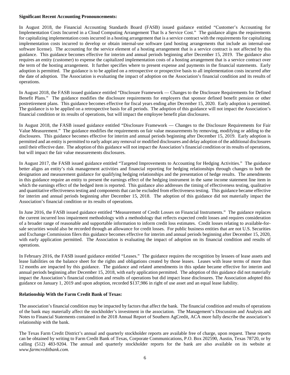## **Significant Recent Accounting Pronouncements:**

In August 2018, the Financial Accounting Standards Board (FASB) issued guidance entitled "Customer's Accounting for Implementation Costs Incurred in a Cloud Computing Arrangement That Is a Service Cost." The guidance aligns the requirements for capitalizing implementation costs incurred in a hosting arrangement that is a service contract with the requirements for capitalizing implementation costs incurred to develop or obtain internal-use software (and hosting arrangements that include an internal-use software license). The accounting for the service element of a hosting arrangement that is a service contract is not affected by this guidance. This guidance becomes effective for interim and annual periods beginning after December 15, 2019. The guidance also requires an entity (customer) to expense the capitalized implementation costs of a hosting arrangement that is a service contract over the term of the hosting arrangement. It further specifies where to present expense and payments in the financial statements. Early adoption is permitted. The guidance is to be applied on a retrospective or prospective basis to all implementation costs incurred after the date of adoption. The Association is evaluating the impact of adoption on the Association's financial condition and its results of operations.

In August 2018, the FASB issued guidance entitled "Disclosure Framework — Changes to the Disclosure Requirements for Defined Benefit Plans." The guidance modifies the disclosure requirements for employers that sponsor defined benefit pension or other postretirement plans. This guidance becomes effective for fiscal years ending after December 15, 2020. Early adoption is permitted. The guidance is to be applied on a retrospective basis for all periods. The adoption of this guidance will not impact the Association's financial condition or its results of operations, but will impact the employee benefit plan disclosures.

In August 2018, the FASB issued guidance entitled "Disclosure Framework — Changes to the Disclosure Requirements for Fair Value Measurement." The guidance modifies the requirements on fair value measurements by removing, modifying or adding to the disclosures. This guidance becomes effective for interim and annual periods beginning after December 15, 2019. Early adoption is permitted and an entity is permitted to early adopt any removal or modified disclosures and delay adoption of the additional disclosures until their effective date. The adoption of this guidance will not impact the Association's financial condition or its results of operations, but will impact the fair value measurements disclosures.

In August 2017, the FASB issued guidance entitled "Targeted Improvements to Accounting for Hedging Activities." The guidance better aligns an entity's risk management activities and financial reporting for hedging relationships through changes to both the designation and measurement guidance for qualifying hedging relationships and the presentation of hedge results. The amendments in this guidance require an entity to present the earnings effect of the hedging instrument in the same income statement line item in which the earnings effect of the hedged item is reported. This guidance also addresses the timing of effectiveness testing, qualitative and quantitative effectiveness testing and components that can be excluded from effectiveness testing. This guidance became effective for interim and annual periods beginning after December 15, 2018. The adoption of this guidance did not materially impact the Association's financial condition or its results of operations.

In June 2016, the FASB issued guidance entitled "Measurement of Credit Losses on Financial Instruments." The guidance replaces the current incurred loss impairment methodology with a methodology that reflects expected credit losses and requires consideration of a broader range of reasonable and supportable information to inform credit loss estimates. Credit losses relating to available-forsale securities would also be recorded through an allowance for credit losses. For public business entities that are not U.S. Securities and Exchange Commission filers this guidance becomes effective for interim and annual periods beginning after December 15, 2020, with early application permitted. The Association is evaluating the impact of adoption on its financial condition and results of operations.

In February 2016, the FASB issued guidance entitled "Leases." The guidance requires the recognition by lessees of lease assets and lease liabilities on the balance sheet for the rights and obligations created by those leases. Leases with lease terms of more than 12 months are impacted by this guidance. The guidance and related amendments in this update became effective for interim and annual periods beginning after December 15, 2018, with early application permitted. The adoption of this guidance did not materially impact the Association's financial condition and results of operations but did impact lease disclosures. The Association adopted this guidance on January 1, 2019 and upon adoption, recorded \$137,986 in right of use asset and an equal lease liability.

## **Relationship With the Farm Credit Bank of Texas:**

The association's financial condition may be impacted by factors that affect the bank. The financial condition and results of operations of the bank may materially affect the stockholder's investment in the association. The Management's Discussion and Analysis and Notes to Financial Statements contained in the 2018 Annual Report of Southern AgCredit, ACA more fully describe the association's relationship with the bank.

The Texas Farm Credit District's annual and quarterly stockholder reports are available free of charge, upon request. These reports can be obtained by writing to Farm Credit Bank of Texas, Corporate Communications, P.O. Box 202590, Austin, Texas 78720, or by calling (512) 483-9204. The annual and quarterly stockholder reports for the bank are also available on its website at *www.farmcreditbank.com.*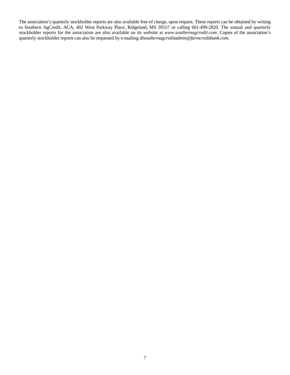The association's quarterly stockholder reports are also available free of charge, upon request. These reports can be obtained by writing to Southern AgCredit, ACA, 402 West Parkway Place, Ridgeland, MS 39157 or calling 601-499-2820. The annual and quarterly stockholder reports for the association are also available on its website at *www.southernagcredit.com.* Copies of the association's quarterly stockholder reports can also be requested by e-mailing *dlsouthernagcreditadmin@farmcreditbank.com.*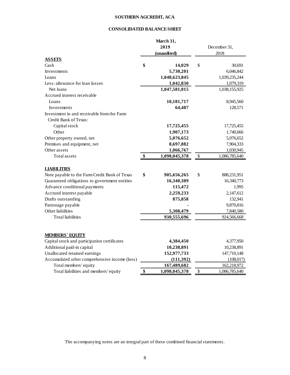# **SOUTHERN AGCREDIT, ACA**

## **CONSOLIDATED BALANCE SHEET**

|                                               |    | March 31,     |    |               |
|-----------------------------------------------|----|---------------|----|---------------|
| 2019<br>(unaudited)                           |    |               |    | December 31,  |
|                                               |    |               |    | 2018          |
| <b>ASSETS</b>                                 |    |               |    |               |
| Cash                                          | \$ | 14,029        | \$ | 30,691        |
| Investments                                   |    | 5,730,201     |    | 6,046,842     |
| Loans                                         |    | 1,048,623,845 |    | 1,039,235,244 |
| Less: allowance for loan losses               |    | 1,042,830     |    | 1,079,319     |
| Net loans                                     |    | 1,047,581,015 |    | 1,038,155,925 |
| Accrued interest receivable                   |    |               |    |               |
| Loans                                         |    | 10,181,717    |    | 8,945,560     |
| Investments                                   |    | 64,487        |    | 128,571       |
| Investment in and receivable from the Farm    |    |               |    |               |
| Credit Bank of Texas:                         |    |               |    |               |
| Capital stock                                 |    | 17,725,455    |    | 17,725,455    |
| Other                                         |    | 1,907,173     |    | 1,740,666     |
| Other property owned, net                     |    | 5,076,652     |    | 5,076,652     |
| Premises and equipment, net                   |    | 8,697,882     |    | 7,904,333     |
| Other assets                                  |    | 1,066,767     |    | 1,030,945     |
| Total assets                                  | \$ | 1,098,045,378 | \$ | 1,086,785,640 |
|                                               |    |               |    |               |
| <b>LIABILITIES</b>                            |    |               |    |               |
| Note payable to the Farm Credit Bank of Texas | \$ | 905,656,265   | \$ | 888,231,951   |
| Guaranteed obligations to government entities |    | 16,340,389    |    | 16,340,773    |
| Advance conditional payments                  |    | 115,472       |    | 1,995         |
| Accrued interest payable                      |    | 2,259,233     |    | 2,147,612     |
| Drafts outstanding                            |    | 875,858       |    | 132,941       |
| Patronage payable                             |    |               |    | 9,870,816     |
| Other liabilities                             |    | 5,308,479     |    | 7,840,580     |
| <b>Total liabilities</b>                      |    | 930,555,696   |    | 924,566,668   |
|                                               |    |               |    |               |
| <b>MEMBERS' EQUITY</b>                        |    |               |    |               |
| Capital stock and participation certificates  |    | 4,384,450     |    | 4,377,950     |
| Additional paid-in capital                    |    | 10,238,891    |    | 10,238,891    |
| Unallocated retained earnings                 |    | 152,977,733   |    | 147,710,148   |
| Accumulated other comprehensive income (loss) |    | (111,392)     |    | (108, 017)    |
| Total members' equity                         |    | 167,489,682   |    | 162,218,972   |
| Total liabilities and members' equity         | \$ | 1,098,045,378 | \$ | 1,086,785,640 |
|                                               |    |               |    |               |

The accompanying notes are an integral part of these combined financial statements.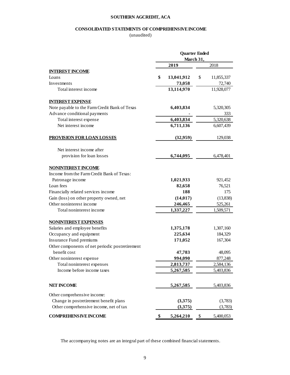## **SOUTHERN AGCREDIT, ACA**

# **CONSOLIDATED STATEMENTS OF COMPREHENSIVE INCOME**

(unaudited)

|                                                 | <b>Quarter Ended</b><br>March 31, |            |    |            |  |  |
|-------------------------------------------------|-----------------------------------|------------|----|------------|--|--|
|                                                 |                                   | 2019       |    | 2018       |  |  |
| <b>INTEREST INCOME</b>                          |                                   |            |    |            |  |  |
| Loans                                           | \$                                | 13,041,912 | \$ | 11,855,337 |  |  |
| Investments                                     |                                   | 73,058     |    | 72,740     |  |  |
| Total interest income                           |                                   | 13,114,970 |    | 11,928,077 |  |  |
| <b>INTEREST EXPENSE</b>                         |                                   |            |    |            |  |  |
| Note payable to the Farm Credit Bank of Texas   |                                   | 6,403,834  |    | 5,320,305  |  |  |
| Advance conditional payments                    |                                   |            |    | 333        |  |  |
| Total interest expense                          |                                   | 6,403,834  |    | 5,320,638  |  |  |
| Net interest income                             |                                   | 6,711,136  |    | 6,607,439  |  |  |
| <b>PROVISION FOR LOAN LOSSES</b>                |                                   | (32,959)   |    | 129,038    |  |  |
| Net interest income after                       |                                   |            |    |            |  |  |
| provision for loan losses                       |                                   | 6,744,095  |    | 6,478,401  |  |  |
| <b>NONINTEREST INCOME</b>                       |                                   |            |    |            |  |  |
| Income from the Farm Credit Bank of Texas:      |                                   |            |    |            |  |  |
| Patronage income                                |                                   | 1,021,933  |    | 921,452    |  |  |
| Loan fees                                       |                                   | 82,658     |    | 76,521     |  |  |
| Financially related services income             |                                   | 188        |    | 175        |  |  |
| Gain (loss) on other property owned, net        |                                   | (14, 017)  |    | (13,838)   |  |  |
| Other noninterest income                        |                                   | 246,465    |    | 525,261    |  |  |
| Total noninterest income                        |                                   | 1,337,227  |    | 1,509,571  |  |  |
| <b>NONINTEREST EXPENSES</b>                     |                                   |            |    |            |  |  |
| Salaries and employee benefits                  |                                   | 1,375,178  |    | 1,307,160  |  |  |
| Occupancy and equipment                         |                                   | 225,634    |    | 184,329    |  |  |
| Insurance Fund premiums                         |                                   | 171,052    |    | 167,304    |  |  |
| Other components of net periodic postretirement |                                   |            |    |            |  |  |
| benefit cost                                    |                                   | 47,783     |    | 48,095     |  |  |
| Other noninterest expense                       |                                   | 994,090    |    | 877,248    |  |  |
| Total noninterest expenses                      |                                   | 2,813,737  |    | 2,584,136  |  |  |
| Income before income taxes                      |                                   | 5,267,585  |    | 5,403,836  |  |  |
| <b>NET INCOME</b>                               |                                   | 5,267,585  |    | 5,403,836  |  |  |
| Other comprehensive income:                     |                                   |            |    |            |  |  |
| Change in postretirement benefit plans          |                                   | (3,375)    |    | (3,783)    |  |  |
| Other comprehensive income, net of tax          |                                   | (3,375)    |    | (3,783)    |  |  |
| <b>COMPREHENSIVE INCOME</b>                     | \$                                | 5,264,210  | \$ | 5,400,053  |  |  |

The accompanying notes are an integral part of these combined financial statements.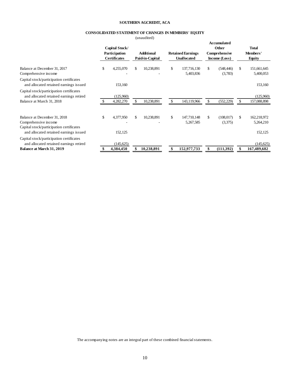## **SOUTHERN AGCREDIT, ACA**

## **CONSOLIDATED STATEMENT OF CHANGES IN MEMBERS' EQUITY**

(unaudited)

|                                                                                                  |                                                        |     | $($ unuuunvu                         |              |                                                |                                                               |     |                             |
|--------------------------------------------------------------------------------------------------|--------------------------------------------------------|-----|--------------------------------------|--------------|------------------------------------------------|---------------------------------------------------------------|-----|-----------------------------|
|                                                                                                  | Capital Stock/<br>Participation<br><b>Certificates</b> |     | <b>Additional</b><br>Paid-in-Capital |              | <b>Retained Earnings</b><br><b>Unallocated</b> | <b>Accumulated</b><br>Other<br>Comprehensive<br>Income (Loss) |     | Total<br>Members'<br>Equity |
| Balance at December 31, 2017<br>Comprehensive income                                             | \$<br>4,255,070                                        | \$. | 10,238,891                           | $\mathbb{S}$ | 137,716,130<br>5,403,836                       | \$<br>(548, 446)<br>(3,783)                                   | \$  | 151,661,645<br>5,400,053    |
| Capital stock/participation certificates<br>and allocated retained earnings issued               | 153,160                                                |     |                                      |              |                                                |                                                               |     | 153,160                     |
| Capital stock/participation certificates<br>and allocated retained earnings retired              | (125,960)                                              |     |                                      |              |                                                |                                                               |     | (125,960)                   |
| Balance at March 31, 2018                                                                        | 4,282,270                                              | £.  | 10,238,891                           | \$           | 143,119,966                                    | \$<br>(552, 229)                                              | \$. | 157,088,898                 |
| Balance at December 31, 2018<br>Comprehensive income<br>Capital stock/participation certificates | \$<br>4,377,950                                        | \$. | 10,238,891                           | $\mathbb{S}$ | 147,710,148<br>5,267,585                       | \$<br>(108, 017)<br>(3,375)                                   | \$  | 162,218,972<br>5,264,210    |
| and allocated retained earnings issued                                                           | 152,125                                                |     |                                      |              |                                                |                                                               |     | 152,125                     |
| Capital stock/participation certificates<br>and allocated retained earnings retired              | (145, 625)                                             |     |                                      |              |                                                |                                                               |     | (145, 625)                  |
| <b>Balance at March 31, 2019</b>                                                                 | 4,384,450                                              |     | 10,238,891                           |              | 152,977,733                                    | \$<br>(111,392)                                               |     | 167,489,682                 |

The accompanying notes are an integral part of these combined financial statements.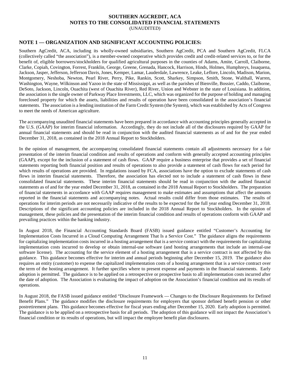## **SOUTHERN AGCREDIT, ACA NOTES TO THE CONSOLIDATED FINANCIAL STATEMENTS** (UNAUDITED)

## **NOTE 1 — ORGANIZATION AND SIGNIFICANT ACCOUNTING POLICIES:**

Southern AgCredit, ACA, including its wholly-owned subsidiaries, Southern AgCredit, PCA and Southern AgCredit, FLCA (collectively called "the association"), is a member-owned cooperative which provides credit and credit-related services to, or for the benefit of, eligible borrowers/stockholders for qualified agricultural purposes in the counties of Adams, Amite, Carroll, Claiborne, Clarke, Copiah, Covington, Forrest, Franklin, George, Greene, Grenada, Hancock, Harrison, Hinds, Holmes, Humphreys, Issaquena, Jackson, Jasper, Jefferson, Jefferson Davis, Jones, Kemper, Lamar, Lauderdale, Lawrence, Leake, Leflore, Lincoln, Madison, Marion, Montgomery, Neshoba, Newton, Pearl River, Perry, Pike, Rankin, Scott, Sharkey, Simpson, Smith, Stone, Walthall, Warren, Washington, Wayne, Wilkinson and Yazoo in the state of Mississippi, as well as the parishes of Bienville, Bossier, Caddo, Claiborne, DeSoto, Jackson, Lincoln, Ouachita (west of Ouachita River), Red River, Union and Webster in the state of Louisiana. In addition, the association is the single owner of Parkway Place Investments, LLC, which was organized for the purpose of holding and managing foreclosed property for which the assets, liabilities and results of operation have been consolidated in the association's financial statements. The association is a lending institution of the Farm Credit System (the System), which was established by Acts of Congress to meet the needs of American agriculture.

The accompanying unaudited financial statements have been prepared in accordance with accounting principles generally accepted in the U.S. (GAAP) for interim financial information. Accordingly, they do not include all of the disclosures required by GAAP for annual financial statements and should be read in conjunction with the audited financial statements as of and for the year ended December 31, 2018, as contained in the 2018 Annual Report to Stockholders.

In the opinion of management, the accompanying consolidated financial statements contain all adjustments necessary for a fair presentation of the interim financial condition and results of operations and conform with generally accepted accounting principles (GAAP), except for the inclusion of a statement of cash flows. GAAP require a business enterprise that provides a set of financial statements reporting both financial position and results of operations to also provide a statement of cash flows for each period for which results of operations are provided. In regulations issued by FCA, associations have the option to exclude statements of cash flows in interim financial statements. Therefore, the association has elected not to include a statement of cash flows in these consolidated financial statements. These interim financial statements should be read in conjunction with the audited financial statements as of and for the year ended December 31, 2018, as contained in the 2018 Annual Report to Stockholders. The preparation of financial statements in accordance with GAAP requires management to make estimates and assumptions that affect the amounts reported in the financial statements and accompanying notes. Actual results could differ from those estimates. The results of operations for interim periods are not necessarily indicative of the results to be expected for the full year ending December 31, 2018. Descriptions of the significant accounting policies are included in the 2018 Annual Report to Stockholders. In the opinion of management, these policies and the presentation of the interim financial condition and results of operations conform with GAAP and prevailing practices within the banking industry.

In August 2018, the Financial Accounting Standards Board (FASB) issued guidance entitled "Customer's Accounting for Implementation Costs Incurred in a Cloud Computing Arrangement That Is a Service Cost." The guidance aligns the requirements for capitalizing implementation costs incurred in a hosting arrangement that is a service contract with the requirements for capitalizing implementation costs incurred to develop or obtain internal-use software (and hosting arrangements that include an internal-use software license). The accounting for the service element of a hosting arrangement that is a service contract is not affected by this guidance. This guidance becomes effective for interim and annual periods beginning after December 15, 2019. The guidance also requires an entity (customer) to expense the capitalized implementation costs of a hosting arrangement that is a service contract over the term of the hosting arrangement. It further specifies where to present expense and payments in the financial statements. Early adoption is permitted. The guidance is to be applied on a retrospective or prospective basis to all implementation costs incurred after the date of adoption. The Association is evaluating the impact of adoption on the Association's financial condition and its results of operations.

In August 2018, the FASB issued guidance entitled "Disclosure Framework — Changes to the Disclosure Requirements for Defined Benefit Plans." The guidance modifies the disclosure requirements for employers that sponsor defined benefit pension or other postretirement plans. This guidance becomes effective for fiscal years ending after December 15, 2020. Early adoption is permitted. The guidance is to be applied on a retrospective basis for all periods. The adoption of this guidance will not impact the Association's financial condition or its results of operations, but will impact the employee benefit plan disclosures.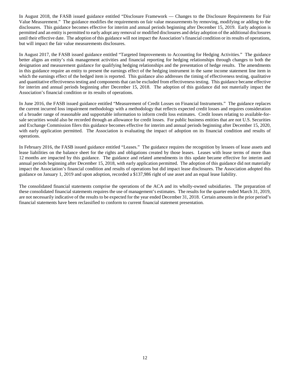In August 2018, the FASB issued guidance entitled "Disclosure Framework — Changes to the Disclosure Requirements for Fair Value Measurement." The guidance modifies the requirements on fair value measurements by removing, modifying or adding to the disclosures. This guidance becomes effective for interim and annual periods beginning after December 15, 2019. Early adoption is permitted and an entity is permitted to early adopt any removal or modified disclosures and delay adoption of the additional disclosures until their effective date. The adoption of this guidance will not impact the Association's financial condition or its results of operations, but will impact the fair value measurements disclosures.

In August 2017, the FASB issued guidance entitled "Targeted Improvements to Accounting for Hedging Activities." The guidance better aligns an entity's risk management activities and financial reporting for hedging relationships through changes to both the designation and measurement guidance for qualifying hedging relationships and the presentation of hedge results. The amendments in this guidance require an entity to present the earnings effect of the hedging instrument in the same income statement line item in which the earnings effect of the hedged item is reported. This guidance also addresses the timing of effectiveness testing, qualitative and quantitative effectiveness testing and components that can be excluded from effectiveness testing. This guidance became effective for interim and annual periods beginning after December 15, 2018. The adoption of this guidance did not materially impact the Association's financial condition or its results of operations.

In June 2016, the FASB issued guidance entitled "Measurement of Credit Losses on Financial Instruments." The guidance replaces the current incurred loss impairment methodology with a methodology that reflects expected credit losses and requires consideration of a broader range of reasonable and supportable information to inform credit loss estimates. Credit losses relating to available-forsale securities would also be recorded through an allowance for credit losses. For public business entities that are not U.S. Securities and Exchange Commission filers this guidance becomes effective for interim and annual periods beginning after December 15, 2020, with early application permitted. The Association is evaluating the impact of adoption on its financial condition and results of operations.

In February 2016, the FASB issued guidance entitled "Leases." The guidance requires the recognition by lessees of lease assets and lease liabilities on the balance sheet for the rights and obligations created by those leases. Leases with lease terms of more than 12 months are impacted by this guidance. The guidance and related amendments in this update became effective for interim and annual periods beginning after December 15, 2018, with early application permitted. The adoption of this guidance did not materially impact the Association's financial condition and results of operations but did impact lease disclosures. The Association adopted this guidance on January 1, 2019 and upon adoption, recorded a \$137,986 right of use asset and an equal lease liability.

The consolidated financial statements comprise the operations of the ACA and its wholly-owned subsidiaries. The preparation of these consolidated financial statements requires the use of management's estimates. The results for the quarter ended March 31, 2019, are not necessarily indicative of the results to be expected for the year ended December 31, 2018. Certain amounts in the prior period's financial statements have been reclassified to conform to current financial statement presentation.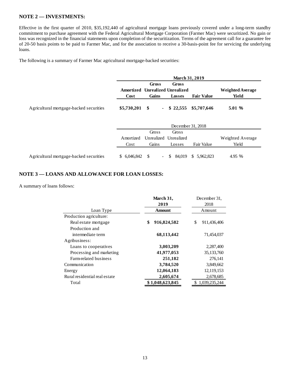## **NOTE 2 — INVESTMENTS:**

Effective in the first quarter of 2010, \$35,192,440 of agricultural mortgage loans previously covered under a long-term standby commitment to purchase agreement with the Federal Agricultural Mortgage Corporation (Farmer Mac) were securitized. No gain or loss was recognized in the financial statements upon completion of the securitization. Terms of the agreement call for a guarantee fee of 20-50 basis points to be paid to Farmer Mac, and for the association to receive a 30-basis-point fee for servicing the underlying loans.

The following is a summary of Farmer Mac agricultural mortgage-backed securities:

|                                         | <b>March 31, 2019</b> |                                 |                                                           |                   |                                  |  |
|-----------------------------------------|-----------------------|---------------------------------|-----------------------------------------------------------|-------------------|----------------------------------|--|
|                                         | Cost                  | Gross<br>Gains                  | <b>Gross</b><br>Amortized Unrealized Unrealized<br>Losses | <b>Fair Value</b> | <b>Weighted Average</b><br>Yield |  |
| Agricultural mortgage-backed securities | \$5,730,201           | \$<br>$\blacksquare$            | \$22,555                                                  | \$5,707,646       | 5.01 %                           |  |
|                                         |                       |                                 | December 31, 2018                                         |                   |                                  |  |
|                                         |                       | Gross                           | Gross                                                     |                   |                                  |  |
|                                         | Amortized             | Unrealized                      | Unrealized                                                |                   | Weighted Average                 |  |
|                                         | Cost                  | Gains                           | Losses                                                    | Fair Value        | Yield                            |  |
| Agricultural mortgage-backed securities | \$6,046,842           | <sup>\$</sup><br>$\blacksquare$ | S<br>84,019                                               | S.<br>5,962,823   | 4.95 %                           |  |

## **NOTE 3 — LOANS AND ALLOWANCE FOR LOAN LOSSES:**

A summary of loans follows:

|                               | March 31,         | December 31,      |  |  |  |
|-------------------------------|-------------------|-------------------|--|--|--|
|                               | 2019              | 2018              |  |  |  |
| Loan Type                     | <b>Amount</b>     | Amount            |  |  |  |
| Production agriculture:       |                   |                   |  |  |  |
| Real estate mortgage          | \$<br>916,824,582 | 911,436,406<br>\$ |  |  |  |
| Production and                |                   |                   |  |  |  |
| intermediate term             | 68,113,442        | 71,454,037        |  |  |  |
| Agribusiness:                 |                   |                   |  |  |  |
| Loans to cooperatives         | 3,003,209         | 2,287,400         |  |  |  |
| Processing and marketing      | 41,977,053        | 35,133,760        |  |  |  |
| Farm-related business         | 251,182           | 276,141           |  |  |  |
| Communication                 | 3,784,520         | 3,849,662         |  |  |  |
| Energy                        | 12,064,183        | 12,119,153        |  |  |  |
| Rural residential real estate | 2,605,674         | 2,678,685         |  |  |  |
| Total                         | \$1,048,623,845   | 1,039,235,244     |  |  |  |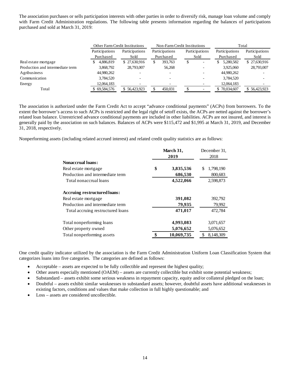The association purchases or sells participation interests with other parties in order to diversify risk, manage loan volume and comply with Farm Credit Administration regulations. The following table presents information regarding the balances of participations purchased and sold at March 31, 2019:

|                                  |                | <b>Other Farm Credit Institutions</b> |                | Non-Farm Credit Institutions | Total          |                |
|----------------------------------|----------------|---------------------------------------|----------------|------------------------------|----------------|----------------|
|                                  | Participations | Participations                        | Participations | Participations               | Participations | Participations |
|                                  | Purchased      | Sold                                  | Purchased      | Sold                         | Purchased      | Sold           |
| Real estate mortgage             | 4.886.819      | \$27,630,916                          | 393,763<br>S   | S                            | 5,280,582      | \$27,630,916   |
| Production and intermediate term | 3.868.792      | 28,793,007                            | 56,268         |                              | 3.925,060      | 28,793,007     |
| Agribusiness                     | 44,980,262     |                                       |                |                              | 44,980,262     |                |
| Communication                    | 3,784,520      |                                       |                |                              | 3,784,520      |                |
| Energy                           | 12,064,183     |                                       |                |                              | 12,064,183     |                |
| Total                            | \$69,584,576   | \$56,423,923                          | 450.031        |                              | \$70,034,607   | \$56,423,923   |

The association is authorized under the Farm Credit Act to accept "advance conditional payments" (ACPs) from borrowers. To the extent the borrower's access to such ACPs is restricted and the legal right of setoff exists, the ACPs are netted against the borrower's related loan balance. Unrestricted advance conditional payments are included in other liabilities. ACPs are not insured, and interest is generally paid by the association on such balances. Balances of ACPs were \$115,472 and \$1,995 at March 31, 2019, and December 31, 2018, respectively.

Nonperforming assets (including related accrued interest) and related credit quality statistics are as follows:

|                                     | March 31,<br>2019 | December 31.<br>2018 |  |  |
|-------------------------------------|-------------------|----------------------|--|--|
| <b>Nonaccrual loans:</b>            |                   |                      |  |  |
| Real estate mortgage                | \$<br>3,835,536   | \$<br>1,798,190      |  |  |
| Production and intermediate term    | 686,530           | 800,683              |  |  |
| Total nonaccrual loans              | 4,522,066         | 2,598,873            |  |  |
| <b>Accruing restructured loans:</b> |                   |                      |  |  |
| Real estate mortgage                | 391,082           | 392,792              |  |  |
| Production and intermediate term    | 79,935            | 79,992               |  |  |
| Total accruing restructured loans   | 471,017           | 472.784              |  |  |
| Total nonperforming loans           | 4,993,083         | 3,071,657            |  |  |
| Other property owned                | 5,076,652         | 5,076,652            |  |  |
| Total nonperforming assets          | \$<br>10,069,735  | 8.148.309            |  |  |

One credit quality indicator utilized by the association is the Farm Credit Administration Uniform Loan Classification System that categorizes loans into five categories. The categories are defined as follows:

- Acceptable assets are expected to be fully collectible and represent the highest quality;
- Other assets especially mentioned (OAEM) assets are currently collectible but exhibit some potential weakness;
- Substandard assets exhibit some serious weakness in repayment capacity, equity and/or collateral pledged on the loan;
- Doubtful assets exhibit similar weaknesses to substandard assets; however, doubtful assets have additional weaknesses in existing factors, conditions and values that make collection in full highly questionable; and
- Loss assets are considered uncollectible.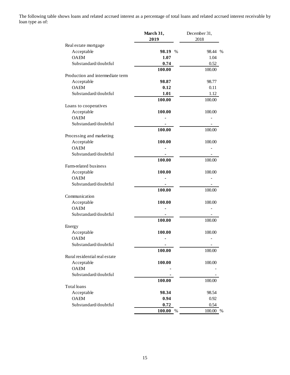The following table shows loans and related accrued interest as a percentage of total loans and related accrued interest receivable by loan type as of:

|                                  | March 31, | December 31,             |
|----------------------------------|-----------|--------------------------|
|                                  | 2019      | 2018                     |
| Real estate mortgage             |           |                          |
| Acceptable                       | 98.19 %   | 98.44 %                  |
| <b>OAEM</b>                      | 1.07      | 1.04                     |
| Substandard/doubtful             | 0.74      | 0.52                     |
|                                  | 100.00    | 100.00                   |
| Production and intermediate term |           |                          |
| Acceptable                       | 98.87     | 98.77                    |
| <b>OAEM</b>                      | 0.12      | 0.11                     |
| Substandard/doubtful             | 1.01      | 1.12                     |
|                                  | 100.00    | 100.00                   |
| Loans to cooperatives            |           |                          |
| Acceptable                       | 100.00    | 100.00                   |
| <b>OAEM</b>                      |           |                          |
| Substandard/doubtful             |           |                          |
|                                  | 100.00    | 100.00                   |
| Processing and marketing         |           |                          |
| Acceptable                       | 100.00    | 100.00                   |
| <b>OAEM</b>                      |           |                          |
|                                  |           |                          |
| Substandard/doubtful             |           |                          |
|                                  | 100.00    | 100.00                   |
| Farm-related business            |           |                          |
| Acceptable                       | 100.00    | 100.00                   |
| <b>OAEM</b>                      |           |                          |
| Substandard/doubtful             |           |                          |
|                                  | 100.00    | 100.00                   |
| Communication                    |           |                          |
| Acceptable                       | 100.00    | 100.00                   |
| <b>OAEM</b>                      |           |                          |
| Substandard/doubtful             |           |                          |
|                                  | 100.00    | 100.00                   |
| Energy                           |           |                          |
| Acceptable                       | 100.00    | 100.00                   |
| <b>OAEM</b>                      |           |                          |
| Substandard/doubtful             |           | $\overline{\phantom{a}}$ |
|                                  | 100.00    | 100.00                   |
| Rural residential real estate    |           |                          |
| Acceptable                       | 100.00    | 100.00                   |
| <b>OAEM</b>                      |           |                          |
| Substandard/doubtful             |           |                          |
|                                  | 100.00    | 100.00                   |
| Total loans                      |           |                          |
| Acceptable                       | 98.34     | 98.54                    |
| <b>OAEM</b>                      | 0.94      | 0.92                     |
| Substandard/doubtful             | 0.72      | 0.54                     |
|                                  | 100.00 %  | 100.00 %                 |
|                                  |           |                          |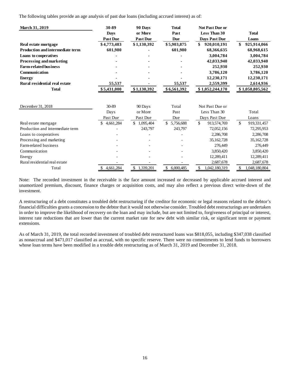The following tables provide an age analysis of past due loans (including accrued interest) as of:

| March 31, 2019                          | 30-89           | 90 Days         | <b>Total</b>    | <b>Not Past Due or</b> |                     |
|-----------------------------------------|-----------------|-----------------|-----------------|------------------------|---------------------|
|                                         | <b>Days</b>     | or More         | Past            | <b>Less Than 30</b>    | <b>Total</b>        |
|                                         | <b>Past Due</b> | <b>Past Due</b> | <b>Due</b>      | <b>Davs Past Due</b>   | Loans               |
| Real estate mortgage                    | \$4,773,483     | \$1,130,392     | \$5,903,875     | \$<br>920,010,191      | \$<br>925,914,066   |
| <b>Production and intermediate term</b> | 601,980         |                 | 601,980         | 68,366,635             | 68,968,615          |
| Loans to cooperatives                   |                 |                 |                 | 3,004,784              | 3,004,784           |
| Processing and marketing                |                 |                 |                 | 42,033,940             | 42,033,940          |
| <b>Farm-related business</b>            |                 |                 |                 | 252,930                | 252,930             |
| Communication                           |                 |                 |                 | 3,786,120              | 3,786,120           |
| <b>Energy</b>                           |                 |                 |                 | 12,230,171             | 12,230,171          |
| Rural residential real estate           | 55,537          |                 | 55,537          | 2,559,399              | 2,614,936           |
| <b>Total</b>                            | \$5,431,000     | \$1,130,392     | \$6,561,392     | \$1,052,244,170        | \$1,058,805,562     |
| December 31, 2018                       | 30-89           | 90 Days         | Total           | Not Past Due or        |                     |
|                                         | Days            | or More         | Past            | Less Than 30           | Total               |
|                                         | Past Due        | Past Due        | Due             | Days Past Due          | Loans               |
| Real estate mortgage                    | \$4,661,284     | \$1,095,404     | \$<br>5,756,688 | \$<br>913,574,769      | \$<br>919,331,457   |
| Production and intermediate term        |                 | 243,797         | 243,797         | 72,052,156             | 72,295,953          |
| Loans to cooperatives                   |                 |                 |                 | 2,286,708              | 2,286,708           |
| Processing and marketing                |                 |                 |                 | 35,162,728             | 35, 162, 728        |
| Farm-related business                   |                 |                 |                 | 276,449                | 276,449             |
| Communication                           |                 |                 |                 | 3,850,420              | 3,850,420           |
| Energy                                  |                 |                 |                 | 12,289,411             | 12,289,411          |
| Rural residential real estate           |                 |                 |                 | 2,687,678              | 2,687,678           |
| Total                                   | 4,661,284<br>\$ | \$<br>1,339,201 | \$<br>6,000,485 | \$<br>1,042,180,319    | \$<br>1,048,180,804 |

Note: The recorded investment in the receivable is the face amount increased or decreased by applicable accrued interest and unamortized premium, discount, finance charges or acquisition costs, and may also reflect a previous direct write-down of the investment.

A restructuring of a debt constitutes a troubled debt restructuring if the creditor for economic or legal reasons related to the debtor's financial difficulties grants a concession to the debtor that it would not otherwise consider. Troubled debt restructurings are undertaken in order to improve the likelihood of recovery on the loan and may include, but are not limited to, forgiveness of principal or interest, interest rate reductions that are lower than the current market rate for new debt with similar risk, or significant term or payment extensions.

As of March 31, 2019, the total recorded investment of troubled debt restructured loans was \$818,055, including \$347,038 classified as nonaccrual and \$471,017 classified as accrual, with no specific reserve. There were no commitments to lend funds to borrowers whose loan terms have been modified in a trouble debt restructuring as of March 31, 2019 and December 31, 2018.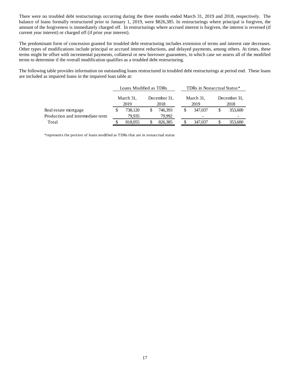There were no troubled debt restructurings occurring during the three months ended March 31, 2019 and 2018, respectively. The balance of loans formally restructured prior to January 1, 2019, were \$826,385. In restructurings where principal is forgiven, the amount of the forgiveness is immediately charged off. In restructurings where accrued interest is forgiven, the interest is reversed (if current year interest) or charged off (if prior year interest).

The predominant form of concession granted for troubled debt restructuring includes extension of terms and interest rate decreases. Other types of modifications include principal or accrued interest reductions, and delayed payments, among others. At times, these terms might be offset with incremental payments, collateral or new borrower guarantees, in which case we assess all of the modified terms to determine if the overall modification qualifies as a troubled debt restructuring.

The following table provides information on outstanding loans restructured in troubled debt restructurings at period end. These loans are included as impaired loans in the impaired loan table at:

|                                  | Loans Modified as TDRs |         |                      |         |                   | TDRs in Nonaccrual Status* |                      |         |
|----------------------------------|------------------------|---------|----------------------|---------|-------------------|----------------------------|----------------------|---------|
|                                  | March 31,<br>2019      |         | December 31.<br>2018 |         | March 31,<br>2019 |                            | December 31.<br>2018 |         |
| Real estate mortgage             |                        | 738.120 |                      | 746.393 | \$                | 347,037                    |                      | 353,600 |
| Production and intermediate term | 79.935                 |         | 79.992               |         |                   |                            |                      |         |
| Total                            | 818,055                |         |                      | 826,385 |                   | 347,037                    |                      | 353,600 |

\*represents the portion of loans modified as TDRs that are in nonaccrual status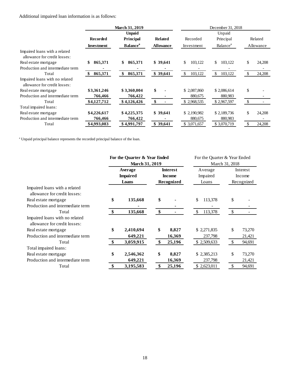Additional impaired loan information is as follows:

| <b>March 31, 2019</b>                                                                     | December 31, 2018           |           |
|-------------------------------------------------------------------------------------------|-----------------------------|-----------|
| <b>Unpaid</b>                                                                             | Unpaid                      |           |
| <b>Recorded</b><br><b>Related</b><br>Principal<br>Recorded                                | Principal                   | Related   |
| <b>Balance</b> <sup>a</sup><br><b>Allowance</b><br><b>Investment</b><br>Investment        | <b>Balance</b> <sup>a</sup> | Allowance |
| Impaired loans with a related<br>allowance for credit losses:                             |                             |           |
| 865,371<br>\$39,641<br>\$<br>865,371<br>\$<br>\$<br>\$<br>103,122<br>Real estate mortgage | \$<br>103,122               | 24,208    |
| Production and intermediate term                                                          |                             |           |
| 865,371<br>865,371<br>\$39,641<br>103,122<br>\$<br><sup>\$</sup><br>\$<br>Total<br>S.     | 103,122<br>\$               | 24,208    |
| Impaired loans with no related<br>allowance for credit losses:                            |                             |           |
| \$<br>\$3,361,246<br>\$3,360,004<br>\$2,087,860<br>Real estate mortgage                   | \$<br>\$2,086,614           |           |
| Production and intermediate term<br>766,466<br>766,422<br>880,675                         | 880,983                     |           |
| \$<br>\$4,127,712<br>\$4,126,426<br>\$2,968,535<br>Total                                  | \$<br>\$2,967,597           |           |
| Total impaired loans:                                                                     |                             |           |
| \$4,225,375<br>\$39,641<br>\$4,226,617<br>\$2,190,982<br>Real estate mortgage             | \$<br>\$2,189,736           | 24,208    |
| Production and intermediate term<br>766,466<br>766,422<br>880,675                         | 880,983                     |           |
| \$39,641<br>\$4,993,083<br>\$4,991,797<br>\$ 3,071,657<br>Total                           | \$<br>\$3,070,719           | 24,208    |

<sup>a</sup> Unpaid principal balance represents the recorded principal balance of the loan.

|                                  | For the Quarter & Year Ended<br><b>March 31, 2019</b> |                 |                                                |        | For the Quarter & Year Ended<br>March 31, 2018 |              |               |            |
|----------------------------------|-------------------------------------------------------|-----------------|------------------------------------------------|--------|------------------------------------------------|--------------|---------------|------------|
|                                  |                                                       |                 |                                                |        |                                                |              |               |            |
|                                  |                                                       | Average         | <b>Interest</b><br><b>Income</b><br>Recognized |        | Average                                        |              |               | Interest   |
|                                  |                                                       | <b>Impaired</b> |                                                |        |                                                | Impaired     |               | Income     |
|                                  |                                                       | Loans           |                                                |        | Loans                                          |              |               | Recognized |
| Impaired loans with a related    |                                                       |                 |                                                |        |                                                |              |               |            |
| allowance for credit losses:     |                                                       |                 |                                                |        |                                                |              |               |            |
| Real estate mortgage             | \$                                                    | 135,668         | \$                                             |        | \$                                             | 113,378      | \$            |            |
| Production and intermediate term |                                                       |                 |                                                |        |                                                |              |               |            |
| Total                            | \$                                                    | 135,668         | $\frac{1}{2}$                                  |        | -\$                                            | 113,378      | \$            |            |
| Impaired loans with no related   |                                                       |                 |                                                |        |                                                |              |               |            |
| allowance for credit losses:     |                                                       |                 |                                                |        |                                                |              |               |            |
| Real estate mortgage             | \$                                                    | 2,410,694       | \$                                             | 8,827  |                                                | \$ 2,271,835 | \$            | 73,270     |
| Production and intermediate term |                                                       | 649,221         |                                                | 16,369 |                                                | 237,798      |               | 21,421     |
| Total                            | -\$                                                   | 3,059,915       | -\$                                            | 25,196 |                                                | \$2,509,633  | <sup>\$</sup> | 94,691     |
| Total impaired loans:            |                                                       |                 |                                                |        |                                                |              |               |            |
| Real estate mortgage             | \$                                                    | 2,546,362       | \$                                             | 8,827  |                                                | \$2,385,213  | \$            | 73,270     |
| Production and intermediate term |                                                       | 649,221         |                                                | 16,369 |                                                | 237,798      |               | 21,421     |
| Total                            | -\$                                                   | 3,195,583       |                                                | 25,196 |                                                | \$2,623,011  | <sup>\$</sup> | 94,691     |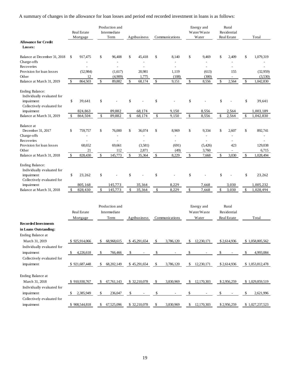A summary of changes in the allowance for loan losses and period end recorded investment in loans is as follows:

|                                                                                                  |     | <b>Real Estate</b><br>Mortgage |                      | Production and<br>Intermediate<br>Term |    | Agribusiness             |     | Communications           |      | Energy and<br>Water/Waste<br>Water |    | Rural<br>Residential<br>Real Estate |     | Total           |  |
|--------------------------------------------------------------------------------------------------|-----|--------------------------------|----------------------|----------------------------------------|----|--------------------------|-----|--------------------------|------|------------------------------------|----|-------------------------------------|-----|-----------------|--|
| <b>Allowance for Credit</b><br>Losses:                                                           |     |                                |                      |                                        |    |                          |     |                          |      |                                    |    |                                     |     |                 |  |
| Balance at December 31, 2018                                                                     | \$  | 917,475                        | \$                   | 96,408                                 | \$ | 45,418                   | \$  | 8,140                    | \$   | 9,469                              | \$ | 2,409                               | \$  | 1,079,319       |  |
| Charge-offs                                                                                      |     |                                |                      |                                        |    |                          |     |                          |      |                                    |    |                                     |     |                 |  |
| Recoveries                                                                                       |     |                                |                      | $\overline{a}$                         |    | $\overline{\phantom{a}}$ |     |                          |      |                                    |    |                                     |     |                 |  |
| Provision for loan losses                                                                        |     | (52,984)                       |                      | (1,617)                                |    | 20,981                   |     | 1,119                    |      | (613)                              |    | 155                                 |     | (32,959)        |  |
| Other                                                                                            |     | 12                             |                      | (4,909)                                |    | 1,775                    |     | (108)                    |      | (300)                              |    | $\qquad \qquad \blacksquare$        |     | (3,530)         |  |
| Balance at March 31, 2019                                                                        | \$  | 864,503                        | \$                   | 89,882                                 | \$ | 68,174                   | \$  | 9,151                    | \$   | 8,556                              | \$ | 2,564                               | \$  | 1,042,830       |  |
| <b>Ending Balance:</b>                                                                           |     |                                |                      |                                        |    |                          |     |                          |      |                                    |    |                                     |     |                 |  |
| Individually evaluated for                                                                       |     |                                |                      |                                        |    |                          |     |                          |      |                                    |    |                                     |     |                 |  |
| impairment                                                                                       | \$  | 39,641                         | \$                   |                                        | \$ |                          | \$  |                          | \$   |                                    | \$ |                                     | \$  | 39,641          |  |
| Collectively evaluated for                                                                       |     |                                |                      |                                        |    |                          |     |                          |      |                                    |    |                                     |     |                 |  |
| impairment                                                                                       |     | 824,863                        |                      | 89,882                                 |    | 68,174                   |     | 9,150                    |      | 8,556                              |    | 2,564                               |     | 1,003,189       |  |
| Balance at March 31, 2019                                                                        | \$  | 864,504                        | \$                   | 89,882                                 | \$ | 68,174                   | \$  | 9,150                    | $\,$ | 8,556                              | \$ | 2,564                               | \$  | 1,042,830       |  |
| Balance at                                                                                       |     |                                |                      |                                        |    |                          |     |                          |      |                                    |    |                                     |     |                 |  |
| December 31, 2017                                                                                | \$  | 759,757                        | \$                   | 76,000                                 | \$ | 36,074                   | \$  | 8,969                    | \$   | 9,334                              | \$ | 2,607                               | \$  | 892,741         |  |
| Charge-offs                                                                                      |     |                                |                      |                                        |    |                          |     | $\overline{\phantom{0}}$ |      |                                    |    |                                     |     |                 |  |
| Recoveries                                                                                       |     |                                |                      | $\overline{a}$                         |    | $\overline{a}$           |     | $\overline{\phantom{a}}$ |      |                                    |    |                                     |     |                 |  |
| Provision for loan losses                                                                        |     | 68,652                         |                      | 69,661                                 |    | (3,581)                  |     | (691)                    |      | (5, 426)                           |    | 423                                 |     | 129,038         |  |
| Other                                                                                            |     | 21                             |                      | 112                                    |    | 2,871                    |     | (49)                     |      | 3,760                              |    | $\overline{\phantom{a}}$            |     | 6,715           |  |
| Balance at March 31, 2018                                                                        | \$  | 828,430                        | \$                   | 145,773                                | \$ | 35,364                   | \$  | 8,229                    | \$   | 7,668                              | \$ | 3,030                               | \$  | 1,028,494       |  |
| <b>Ending Balance:</b><br>Individually evaluated for<br>impairment<br>Collectively evaluated for | \$  | 23,262                         | \$                   |                                        | \$ |                          | \$  |                          | \$   |                                    | \$ |                                     | \$  | 23,262          |  |
| impairment                                                                                       |     | 805,168                        |                      | 145,773                                |    | 35,364                   |     | 8,229                    |      | 7,668                              |    | 3,030                               |     | 1,005,232       |  |
| Balance at March 31, 2018                                                                        | \$  | 828,430                        | \$                   | 145,773                                | \$ | 35,364                   | \$  | 8,229                    | \$   | 7,668                              | \$ | 3,030                               | \$  | 1,028,494       |  |
|                                                                                                  |     | Real Estate<br>Mortgage        |                      | Production and<br>Intermediate<br>Term |    | Agribusiness             |     | Communications           |      | Energy and<br>Water/Waste<br>Water |    | Rural<br>Residential<br>Real Estate |     | Total           |  |
| <b>Recorded Investments</b>                                                                      |     |                                |                      |                                        |    |                          |     |                          |      |                                    |    |                                     |     |                 |  |
| in Loans Outstanding:<br>Ending Balance at                                                       |     |                                |                      |                                        |    |                          |     |                          |      |                                    |    |                                     |     |                 |  |
| March 31, 2019                                                                                   |     | \$925,914,066                  | \$                   | 68,968,615                             |    | \$45,291,654             | \$  | 3,786,120                | \$   | 12,230,171                         |    | \$2,614,936                         |     | \$1,058,805,562 |  |
| Individually evaluated for                                                                       |     |                                |                      |                                        |    |                          |     |                          |      |                                    |    |                                     |     |                 |  |
| impairment                                                                                       |     | 4,226,618                      | $\sqrt{\frac{2}{2}}$ | 766,466                                | \$ |                          | \$  | $\overline{\phantom{a}}$ | \$   |                                    | \$ |                                     | \$  | 4,993,084       |  |
| Collectively evaluated for                                                                       |     |                                |                      |                                        |    |                          |     |                          |      |                                    |    |                                     |     |                 |  |
|                                                                                                  |     |                                |                      |                                        |    |                          |     |                          |      |                                    |    |                                     |     |                 |  |
| impairment                                                                                       |     | \$921,687,448                  |                      | \$68,202,149                           |    | \$45,291,654             | \$  | 3,786,120                |      | \$ 12,230,171                      |    | \$2,614,936                         |     | \$1,053,812,478 |  |
| Ending Balance at                                                                                |     |                                |                      |                                        |    |                          |     |                          |      |                                    |    |                                     |     |                 |  |
| March 31, 2018                                                                                   |     | \$910,930,767                  |                      | \$67,761,143                           |    | \$32,210,078             | \$  | 3,830,969                |      | $\frac{12,170,303}{2}$             |    | \$2,956,259                         |     | \$1,029,859,519 |  |
| Individually evaluated for                                                                       |     |                                |                      |                                        |    |                          |     |                          |      |                                    |    |                                     |     |                 |  |
| impairment                                                                                       | -SS | 2,385,949                      | \$                   | 236,047                                | \$ |                          | \$  |                          | \$   |                                    | \$ |                                     | \$. | 2,621,996       |  |
| Collectively evaluated for                                                                       |     |                                |                      |                                        |    |                          |     |                          |      |                                    |    |                                     |     |                 |  |
| impairment                                                                                       |     | \$908,544,818                  | S,                   | 67,525,096 \$ 32,210,078               |    |                          | - S | 3,830,969                |      | $\frac{12,170,303}{2}$             |    | \$2,956,259                         |     | \$1,027,237,523 |  |
|                                                                                                  |     |                                |                      |                                        |    |                          |     |                          |      |                                    |    |                                     |     |                 |  |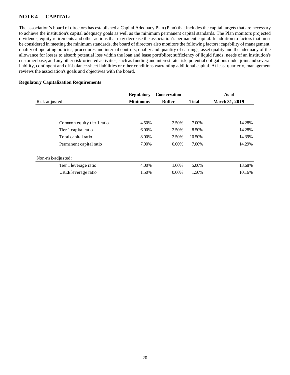# **NOTE 4 –– CAPITAL:**

The association's board of directors has established a Capital Adequacy Plan (Plan) that includes the capital targets that are necessary to achieve the institution's capital adequacy goals as well as the minimum permanent capital standards. The Plan monitors projected dividends, equity retirements and other actions that may decrease the association's permanent capital. In addition to factors that must be considered in meeting the minimum standards, the board of directors also monitors the following factors: capability of management; quality of operating policies, procedures and internal controls; quality and quantity of earnings; asset quality and the adequacy of the allowance for losses to absorb potential loss within the loan and lease portfolios; sufficiency of liquid funds; needs of an institution's customer base; and any other risk-oriented activities, such as funding and interest rate risk, potential obligations under joint and several liability, contingent and off-balance-sheet liabilities or other conditions warranting additional capital. At least quarterly, management reviews the association's goals and objectives with the board.

## **Regulatory Capitalization Requirements**

|                            | <b>Regulatory</b> | <b>Conservation</b> |              | As of                 |
|----------------------------|-------------------|---------------------|--------------|-----------------------|
| Risk-adjusted:             | <b>Minimums</b>   | <b>Buffer</b>       | <b>Total</b> | <b>March 31, 2019</b> |
|                            |                   |                     |              |                       |
|                            |                   |                     |              |                       |
| Common equity tier 1 ratio | 4.50%             | 2.50%               | 7.00%        | 14.28%                |
| Tier 1 capital ratio       | 6.00%             | 2.50%               | 8.50%        | 14.28%                |
| Total capital ratio        | 8.00%             | 2.50%               | 10.50%       | 14.39%                |
| Permanent capital ratio    | 7.00%             | $0.00\%$            | 7.00%        | 14.29%                |
| Non-risk-adjusted:         |                   |                     |              |                       |
| Tier 1 leverage ratio      | 4.00%             | 1.00%               | 5.00%        | 13.68%                |
| UREE leverage ratio        | 1.50%             | $0.00\%$            | 1.50%        | 10.16%                |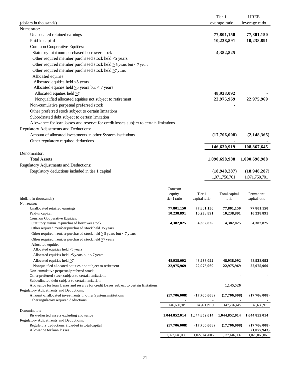| (dollars in thousands)                                                                                                                    |                        |                         | Tier 1<br>leverage ratio | <b>UREE</b><br>leverage ratio |
|-------------------------------------------------------------------------------------------------------------------------------------------|------------------------|-------------------------|--------------------------|-------------------------------|
| Numerator:                                                                                                                                |                        |                         |                          |                               |
| Unallocated retained earnings                                                                                                             |                        |                         | 77,801,150               | 77,801,150                    |
| Paid-in capital                                                                                                                           |                        |                         | 10,238,891               | 10,238,891                    |
| Common Cooperative Equities:                                                                                                              |                        |                         |                          |                               |
| Statutory minimum purchased borrower stock                                                                                                |                        |                         | 4,382,825                |                               |
| Other required member purchased stock held <5 years                                                                                       |                        |                         |                          |                               |
| Other required member purchased stock held $\geq$ 5 years but < 7 years                                                                   |                        |                         |                          |                               |
| Other required member purchased stock held $\geq$ 7 years                                                                                 |                        |                         |                          |                               |
| Allocated equities:                                                                                                                       |                        |                         |                          |                               |
| Allocated equities held <5 years                                                                                                          |                        |                         |                          |                               |
| Allocated equities held $\geq$ 5 years but < 7 years                                                                                      |                        |                         |                          |                               |
| Allocated equities held $\geq 7$                                                                                                          |                        |                         | 48,938,092               |                               |
| Nonqualified allocated equities not subject to retirement                                                                                 |                        |                         | 22,975,969               | 22,975,969                    |
| Non-cumulative perpetual preferred stock                                                                                                  |                        |                         |                          |                               |
| Other preferred stock subject to certain limitations                                                                                      |                        |                         |                          |                               |
| Subordinated debt subject to certain limitation                                                                                           |                        |                         |                          |                               |
| Allowance for loan losses and reserve for credit losses subject to certain limitations                                                    |                        |                         |                          |                               |
| Regulatory Adjustments and Deductions:                                                                                                    |                        |                         |                          |                               |
| Amount of allocated investments in other System institutions                                                                              |                        |                         | (17,706,008)             | (2, 148, 365)                 |
| Other regulatory required deductions                                                                                                      |                        |                         |                          |                               |
|                                                                                                                                           |                        |                         | 146,630,919              | 108,867,645                   |
| Denominator:                                                                                                                              |                        |                         |                          |                               |
| <b>Total Assets</b>                                                                                                                       |                        |                         | 1,090,698,988            | 1,090,698,988                 |
| Regulatory Adjustments and Deductions:                                                                                                    |                        |                         |                          |                               |
| Regulatory deductions included in tier 1 capital                                                                                          |                        |                         | (18, 948, 287)           | (18,948,287)                  |
|                                                                                                                                           |                        |                         | 1,071,750,701            | 1,071,750,701                 |
|                                                                                                                                           |                        |                         |                          |                               |
|                                                                                                                                           | Common                 |                         |                          |                               |
| (dollars in thousands)                                                                                                                    | equity<br>tier 1 ratio | Tier 1<br>capital ratio | Total capital<br>ratio   | Permanent<br>capital ratio    |
| Numerator:                                                                                                                                |                        |                         |                          |                               |
| Unallocated retained earnings                                                                                                             | 77,801,150             | 77,801,150              | 77,801,150               | 77,801,150                    |
| Paid-in capital                                                                                                                           | 10,238,891             | 10,238,891              | 10,238,891               | 10,238,891                    |
| Common Cooperative Equities:                                                                                                              |                        |                         |                          |                               |
| Statutory minimum purchased borrower stock<br>Other required member purchased stock held <5 years                                         | 4,382,825              | 4,382,825               | 4,382,825                | 4,382,825                     |
| Other required member purchased stock held $\geq$ 5 years but < 7 years                                                                   |                        |                         |                          |                               |
| Other required member purchased stock held $\geq$ 7 years                                                                                 |                        |                         |                          |                               |
| Allocated equities:                                                                                                                       |                        |                         |                          |                               |
| Allocated equities held <5 years                                                                                                          |                        |                         |                          |                               |
| Allocated equities held $\geq$ 5 years but < 7 years                                                                                      |                        |                         |                          |                               |
| Allocated equities held $\geq$ 7                                                                                                          | 48,938,092             | 48,938,092              | 48,938,092               | 48,938,092                    |
| Nonqualified allocated equities not subject to retirement                                                                                 | 22,975,969             | 22,975,969              | 22,975,969               | 22,975,969                    |
| Non-cumulative perpetual preferred stock                                                                                                  |                        |                         |                          |                               |
| Other preferred stock subject to certain limitations                                                                                      |                        |                         |                          |                               |
| Subordinated debt subject to certain limitation<br>Allowance for loan losses and reserve for credit losses subject to certain limitations |                        |                         | 1,145,526                |                               |
| Regulatory Adjustments and Deductions:                                                                                                    |                        |                         |                          |                               |
| Amount of allocated investments in other System institutions                                                                              | (17,706,008)           | (17,706,008)            | (17,706,008)             | (17,706,008)                  |
| Other regulatory required deductions                                                                                                      | $\blacksquare$         |                         |                          |                               |
| Denominator:                                                                                                                              | 146,630,919            | 146,630,919             | 147,776,445              | 146,630,919                   |
| Risk-adjusted assets excluding allowance                                                                                                  | 1,044,852,014          | 1,044,852,014           | 1,044,852,014            | 1,044,852,014                 |
| Regulatory Adjustments and Deductions:<br>Regulatory deductions included in total capital                                                 | (17,706,008)           | (17,706,008)            | (17,706,008)             | (17,706,008)                  |
| Allowance for loan losses                                                                                                                 |                        |                         |                          | (1,077,943)                   |

1,027,146,006 1,027,146,006 1,027,146,006 1,026,068,063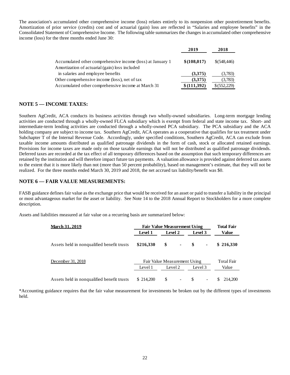The association's accumulated other comprehensive income (loss) relates entirely to its nonpension other postretirement benefits. Amortization of prior service (credits) cost and of actuarial (gain) loss are reflected in "Salaries and employee benefits" in the Consolidated Statement of Comprehensive Income. The following table summarizes the changes in accumulated other comprehensive income (loss) for the three months ended June 30:

|                                                            | 2019         | 2018         |
|------------------------------------------------------------|--------------|--------------|
| Accumulated other comprehensive income (loss) at January 1 | \$(108, 017) | \$(548, 446) |
| Amortization of actuarial (gain) loss included             |              |              |
| in salaries and employee benefits                          | (3,375)      | (3,783)      |
| Other comprehensive income (loss), net of tax              | (3,375)      | (3,783)      |
| Accumulated other comprehensive income at March 31         | \$(111,392)  | \$ (552,229) |

## **NOTE 5 — INCOME TAXES:**

Southern AgCredit, ACA conducts its business activities through two wholly-owned subsidiaries. Long-term mortgage lending activities are conducted through a wholly-owned FLCA subsidiary which is exempt from federal and state income tax. Short- and intermediate-term lending activities are conducted through a wholly-owned PCA subsidiary. The PCA subsidiary and the ACA holding company are subject to income tax. Southern AgCredit, ACA operates as a cooperative that qualifies for tax treatment under Subchapter T of the Internal Revenue Code. Accordingly, under specified conditions, Southern AgCredit, ACA can exclude from taxable income amounts distributed as qualified patronage dividends in the form of cash, stock or allocated retained earnings. Provisions for income taxes are made only on those taxable earnings that will not be distributed as qualified patronage dividends. Deferred taxes are recorded at the tax effect of all temporary differences based on the assumption that such temporary differences are retained by the institution and will therefore impact future tax payments. A valuation allowance is provided against deferred tax assets to the extent that it is more likely than not (more than 50 percent probability), based on management's estimate, that they will not be realized. For the three months ended March 30, 2019 and 2018, the net accrued tax liability/benefit was \$0.

## **NOTE 6 — FAIR VALUE MEASUREMENTS:**

FASB guidance defines fair value as the exchange price that would be received for an asset or paid to transfer a liability in the principal or most advantageous market for the asset or liability. See Note 14 to the 2018 Annual Report to Stockholders for a more complete description.

Assets and liabilities measured at fair value on a recurring basis are summarized below:

| <b>March 31, 2019</b>                      | <b>Fair Value Measurement Using</b> |               | <b>Total Fair</b> |         |                          |       |                   |
|--------------------------------------------|-------------------------------------|---------------|-------------------|---------|--------------------------|-------|-------------------|
|                                            | <b>Level 1</b>                      | Level 2       |                   | Level 3 |                          | Value |                   |
| Assets held in nonqualified benefit trusts | \$216,330                           | \$            | $\blacksquare$    | S       | ٠                        |       | \$216,330         |
| December 31, 2018                          | Fair Value Measurement Using        |               |                   |         |                          |       | <b>Total Fair</b> |
|                                            | Level 1                             |               | Level 2           |         | Level 3                  |       | Value             |
| Assets held in nonqualified benefit trusts | \$214,200                           | <sup>\$</sup> |                   | \$      | $\overline{\phantom{a}}$ | S.    | 214,200           |

\*Accounting guidance requires that the fair value measurement for investments be broken out by the different types of investments held.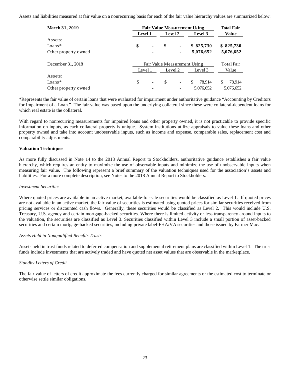Assets and liabilities measured at fair value on a nonrecurring basis for each of the fair value hierarchy values are summarized below:

| <b>March 31, 2019</b> | <b>Fair Value Measurement Using</b> | <b>Total Fair</b>        |         |                          |              |                   |  |
|-----------------------|-------------------------------------|--------------------------|---------|--------------------------|--------------|-------------------|--|
|                       | <b>Level 1</b>                      | Level 2                  |         | Level 3                  | Value        |                   |  |
| Assets:               |                                     |                          |         |                          |              |                   |  |
| $Loans*$              | \$                                  | $\blacksquare$           | \$      | $\blacksquare$           | \$825,730    | \$825,730         |  |
| Other property owned  |                                     | ۰                        |         |                          | 5,076,652    | 5,076,652         |  |
| December 31, 2018     | Fair Value Measurement Using        |                          |         |                          |              | <b>Total Fair</b> |  |
|                       | Level 1                             |                          | Level 2 |                          | Level 3      | Value             |  |
| Assets:               |                                     |                          |         |                          |              |                   |  |
| $Loans*$              | \$                                  | $\overline{\phantom{a}}$ | \$      | $\overline{\phantom{a}}$ | 78.914<br>\$ | \$<br>78,914      |  |
| Other property owned  |                                     |                          |         |                          | 5,076,652    | 5,076,652         |  |

\*Represents the fair value of certain loans that were evaluated for impairment under authoritative guidance "Accounting by Creditors for Impairment of a Loan." The fair value was based upon the underlying collateral since these were collateral-dependent loans for which real estate is the collateral.

With regard to nonrecurring measurements for impaired loans and other property owned, it is not practicable to provide specific information on inputs, as each collateral property is unique. System institutions utilize appraisals to value these loans and other property owned and take into account unobservable inputs, such as income and expense, comparable sales, replacement cost and comparability adjustments.

## **Valuation Techniques**

As more fully discussed in Note 14 to the 2018 Annual Report to Stockholders, authoritative guidance establishes a fair value hierarchy, which requires an entity to maximize the use of observable inputs and minimize the use of unobservable inputs when measuring fair value. The following represent a brief summary of the valuation techniques used for the association's assets and liabilities. For a more complete description, see Notes to the 2018 Annual Report to Stockholders.

#### *Investment Securities*

Where quoted prices are available in an active market, available-for-sale securities would be classified as Level 1. If quoted prices are not available in an active market, the fair value of securities is estimated using quoted prices for similar securities received from pricing services or discounted cash flows. Generally, these securities would be classified as Level 2. This would include U.S. Treasury, U.S. agency and certain mortgage-backed securities. Where there is limited activity or less transparency around inputs to the valuation, the securities are classified as Level 3. Securities classified within Level 3 include a small portion of asset-backed securities and certain mortgage-backed securities, including private label-FHA/VA securities and those issued by Farmer Mac.

#### *Assets Held in Nonqualified Benefits Trusts*

Assets held in trust funds related to deferred compensation and supplemental retirement plans are classified within Level 1. The trust funds include investments that are actively traded and have quoted net asset values that are observable in the marketplace.

## *Standby Letters of Credit*

The fair value of letters of credit approximate the fees currently charged for similar agreements or the estimated cost to terminate or otherwise settle similar obligations.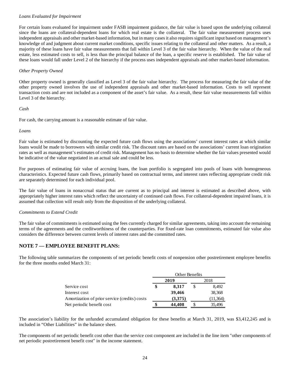## *Loans Evaluated for Impairment*

For certain loans evaluated for impairment under FASB impairment guidance, the fair value is based upon the underlying collateral since the loans are collateral-dependent loans for which real estate is the collateral. The fair value measurement process uses independent appraisals and other market-based information, but in many cases it also requires significant input based on management's knowledge of and judgment about current market conditions, specific issues relating to the collateral and other matters. As a result, a majority of these loans have fair value measurements that fall within Level 3 of the fair value hierarchy. When the value of the real estate, less estimated costs to sell, is less than the principal balance of the loan, a specific reserve is established. The fair value of these loans would fall under Level 2 of the hierarchy if the process uses independent appraisals and other market-based information.

## *Other Property Owned*

Other property owned is generally classified as Level 3 of the fair value hierarchy. The process for measuring the fair value of the other property owned involves the use of independent appraisals and other market-based information. Costs to sell represent transaction costs and are not included as a component of the asset's fair value. As a result, these fair value measurements fall within Level 3 of the hierarchy.

## *Cash*

For cash, the carrying amount is a reasonable estimate of fair value.

## *Loans*

Fair value is estimated by discounting the expected future cash flows using the associations' current interest rates at which similar loans would be made to borrowers with similar credit risk. The discount rates are based on the associations' current loan origination rates as well as management's estimates of credit risk. Management has no basis to determine whether the fair values presented would be indicative of the value negotiated in an actual sale and could be less.

For purposes of estimating fair value of accruing loans, the loan portfolio is segregated into pools of loans with homogeneous characteristics. Expected future cash flows, primarily based on contractual terms, and interest rates reflecting appropriate credit risk are separately determined for each individual pool.

The fair value of loans in nonaccrual status that are current as to principal and interest is estimated as described above, with appropriately higher interest rates which reflect the uncertainty of continued cash flows. For collateral-dependent impaired loans, it is assumed that collection will result only from the disposition of the underlying collateral.

## *Commitments to Extend Credit*

The fair value of commitments is estimated using the fees currently charged for similar agreements, taking into account the remaining terms of the agreements and the creditworthiness of the counterparties. For fixed-rate loan commitments, estimated fair value also considers the difference between current levels of interest rates and the committed rates.

## **NOTE 7 — EMPLOYEE BENEFIT PLANS:**

The following table summarizes the components of net periodic benefit costs of nonpension other postretirement employee benefits for the three months ended March 31:

|                                               | Other Benefits |         |  |          |  |  |  |
|-----------------------------------------------|----------------|---------|--|----------|--|--|--|
|                                               |                | 2019    |  | 2018     |  |  |  |
| Service cost                                  | \$             | 8,317   |  | 8,492    |  |  |  |
| Interest cost                                 |                | 39,466  |  | 38,368   |  |  |  |
| Amortization of prior service (credits) costs |                | (3,375) |  | (11,364) |  |  |  |
| Net periodic benefit cost                     | \$             | 44,408  |  | 35,496   |  |  |  |

The association's liability for the unfunded accumulated obligation for these benefits at March 31, 2019, was \$3,412,245 and is included in "Other Liabilities" in the balance sheet.

The components of net periodic benefit cost other than the service cost component are included in the line item "other components of net periodic postretirement benefit cost" in the income statement.